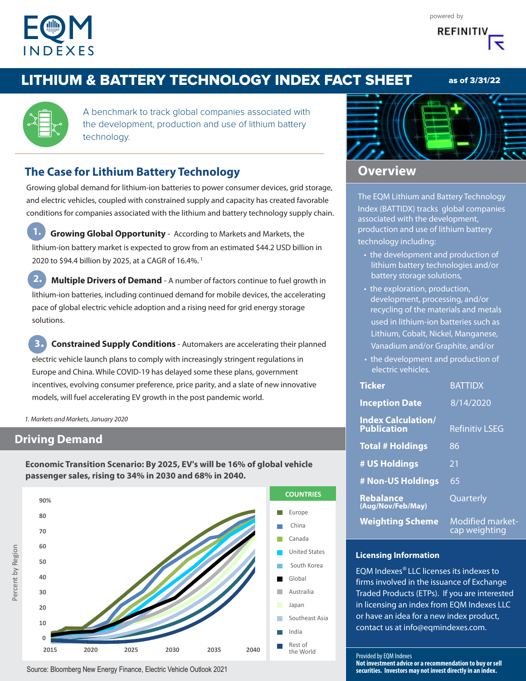

## LITHIUM & BATTERY TECHNOLOGY INDEX FACT SHEET

A benchmark to track global companies associated with the development, production and use of lithium battery technology.

## **The Case for Lithium Battery Technology**

Growing global demand for lithium-ion batteries to power consumer devices, grid storage, and electric vehicles, coupled with constrained supply and capacity has created favorable conditions for companies associated with the lithium and battery technology supply chain.

**1. Growing Global Opportunity** - According to Markets and Markets, the lithium-ion battery market is expected to grow from an estimated \$44.2 USD billion in 2020 to \$94.4 billion by 2025, at a CAGR of 16.4%.<sup>1</sup>

**2. Multiple Drivers of Demand** - A number of factors continue to fuel growth in lithium-ion batteries, including continued demand for mobile devices, the accelerating pace of global electric vehicle adoption and a rising need for grid energy storage solutions.

**3. Constrained Supply Conditions** - Automakers are accelerating their planned electric vehicle launch plans to comply with increasingly stringent regulations in Europe and China. While COVID-19 has delayed some these plans, government incentives, evolving consumer preference, price parity, and a slate of new innovative models, will fuel accelerating EV growth in the post pandemic world.

1. Markets and Markets, January 2020

### **Driving Demand**

**Economic Transition Scenario: By 2025, EV's will be 16% of global vehicle passenger sales, rising to 34% in 2030 and 68% in 2040.**





## **Overview**

The EQM Lithium and Battery Technology Index (BATTIDX) tracks global companies associated with the development, production and use of lithium battery technology including:

- the development and production of lithium battery technologies and/or battery storage solutions,
- the exploration, production, development, processing, and/or recycling of the materials and metals used in lithium-ion batteries such as Lithium, Cobalt, Nickel, Manganese, Vanadium and/or Graphite, and/or
- the development and production of electric vehicles.

| <b>Ticker</b>                                   | <b>BATTIDX</b>                           |
|-------------------------------------------------|------------------------------------------|
| <b>Inception Date</b>                           | 8/14/2020                                |
| <b>Index Calculation/</b><br><b>Publication</b> | <b>Refinitiv LSEG</b>                    |
| <b>Total # Holdings</b>                         | 86                                       |
| # US Holdings                                   | 21                                       |
| # Non-US Holdings                               | 65                                       |
| Rebalance<br>(Aug/Nov/Feb/May)                  | Quarterly                                |
| <b>Weighting Scheme</b>                         | <b>Modified market-</b><br>cap weighting |

#### **Licensing Information**

EQM Indexes® LLC licenses its indexes to firms involved in the issuance of Exchange Traded Products (ETPs). If you are interested in licensing an index from EQM Indexes LLC or have an idea for a new index product, contact us at info@eqmindexes.com.



as of 3/31/22

Source: Bloomberg New Energy Finance, Electric Vehicle Outlook 2021

Provided by EQM Indexes

**Not investment advice or a recommendation to buy or sell securities. Investors may not invest directly in an index.**